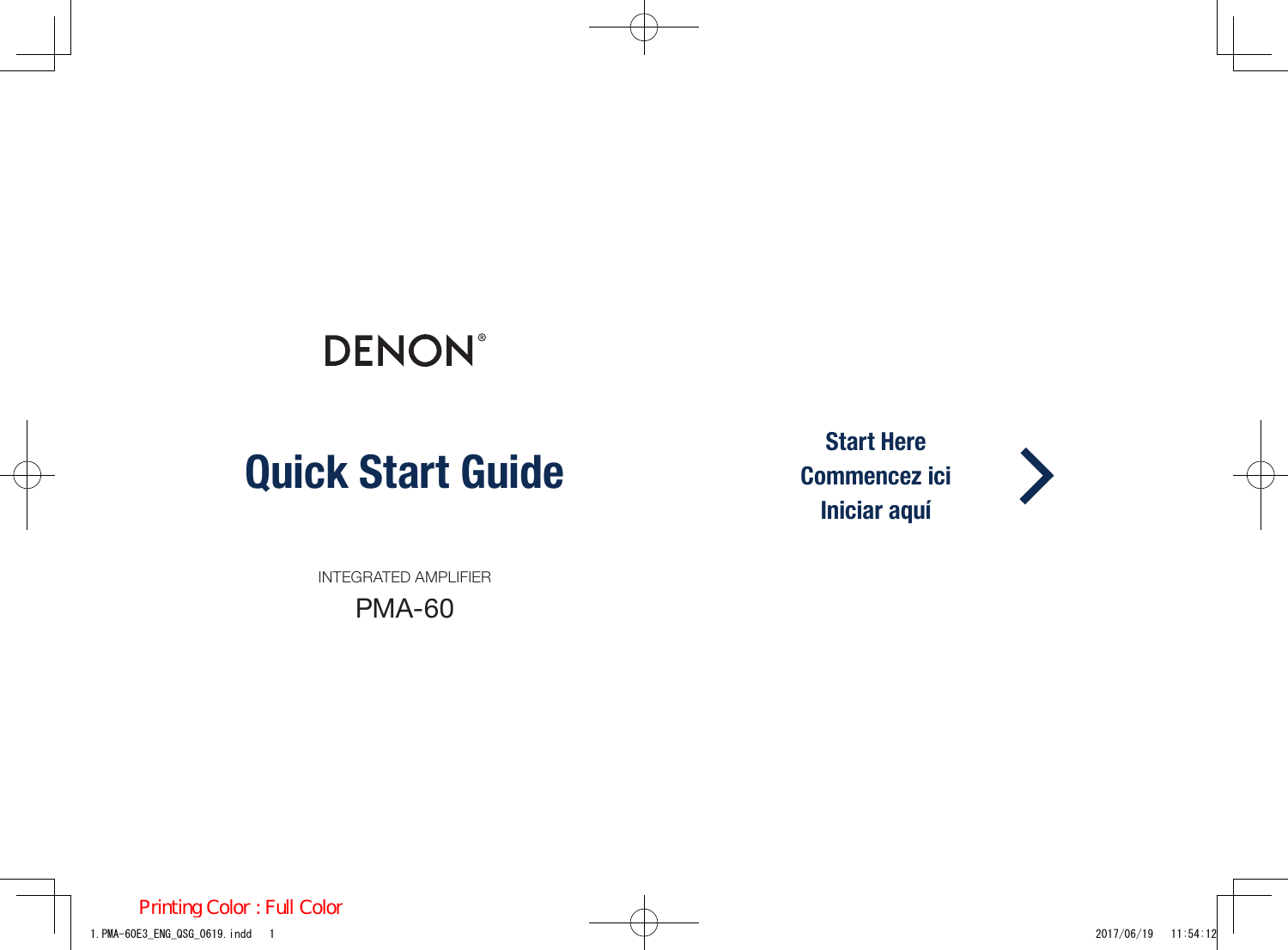# **DENON®**

# Quick Start Guide

Start Here Commencez ici Iniciar aquí

 $\blacktriangleright$ 

INTEGRATED AMPLIFIER

PMA-60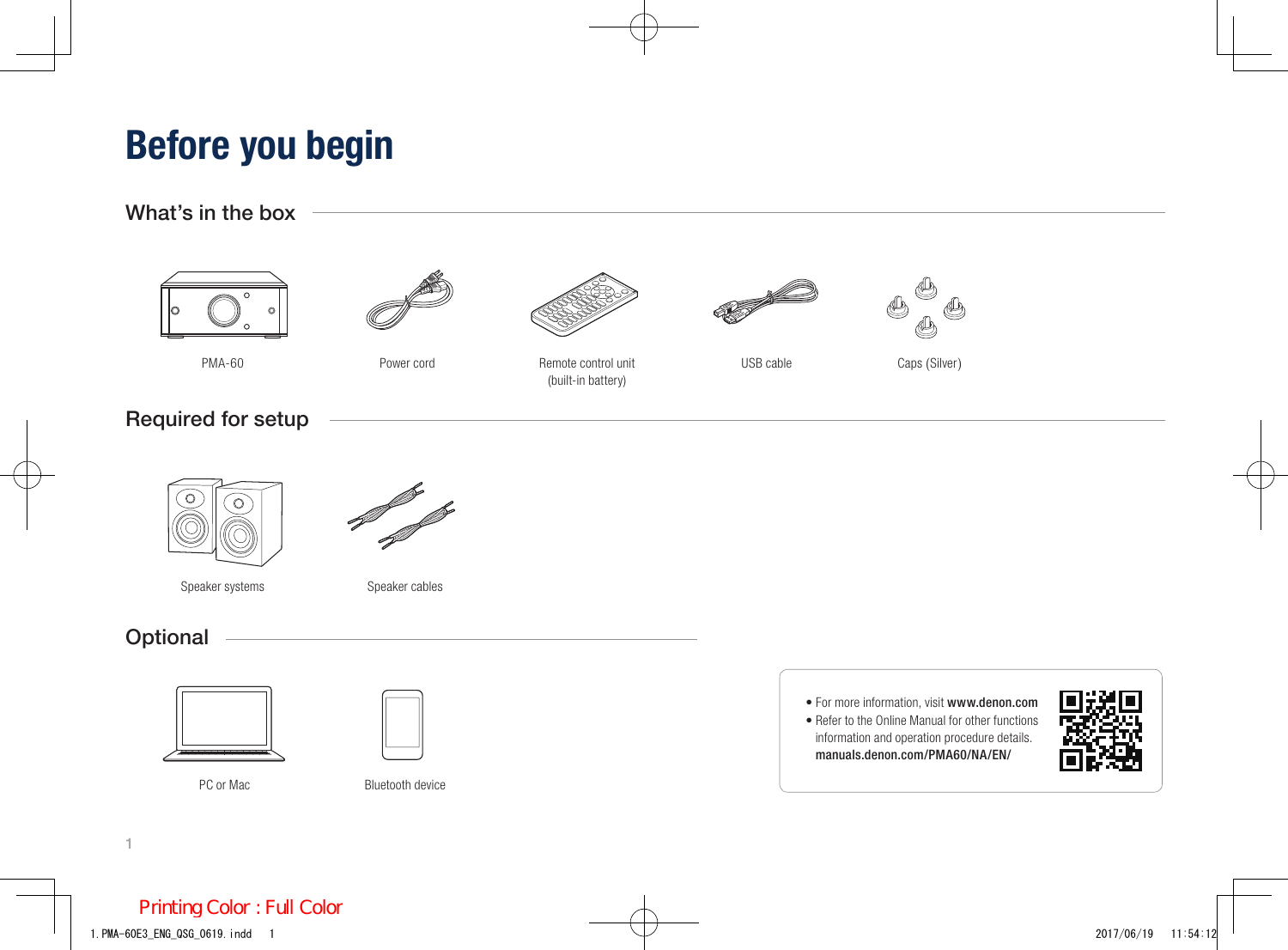# Before you begin

### What's in the box



### Required for setup



Speaker systems



Speaker cables

### **Optional**





PC or Mac

Bluetooth device

• For more information, visit www.denon.com • Refer to the Online Manual for other functions information and operation procedure details. manuals.denon.com/PMA60/NA/EN/

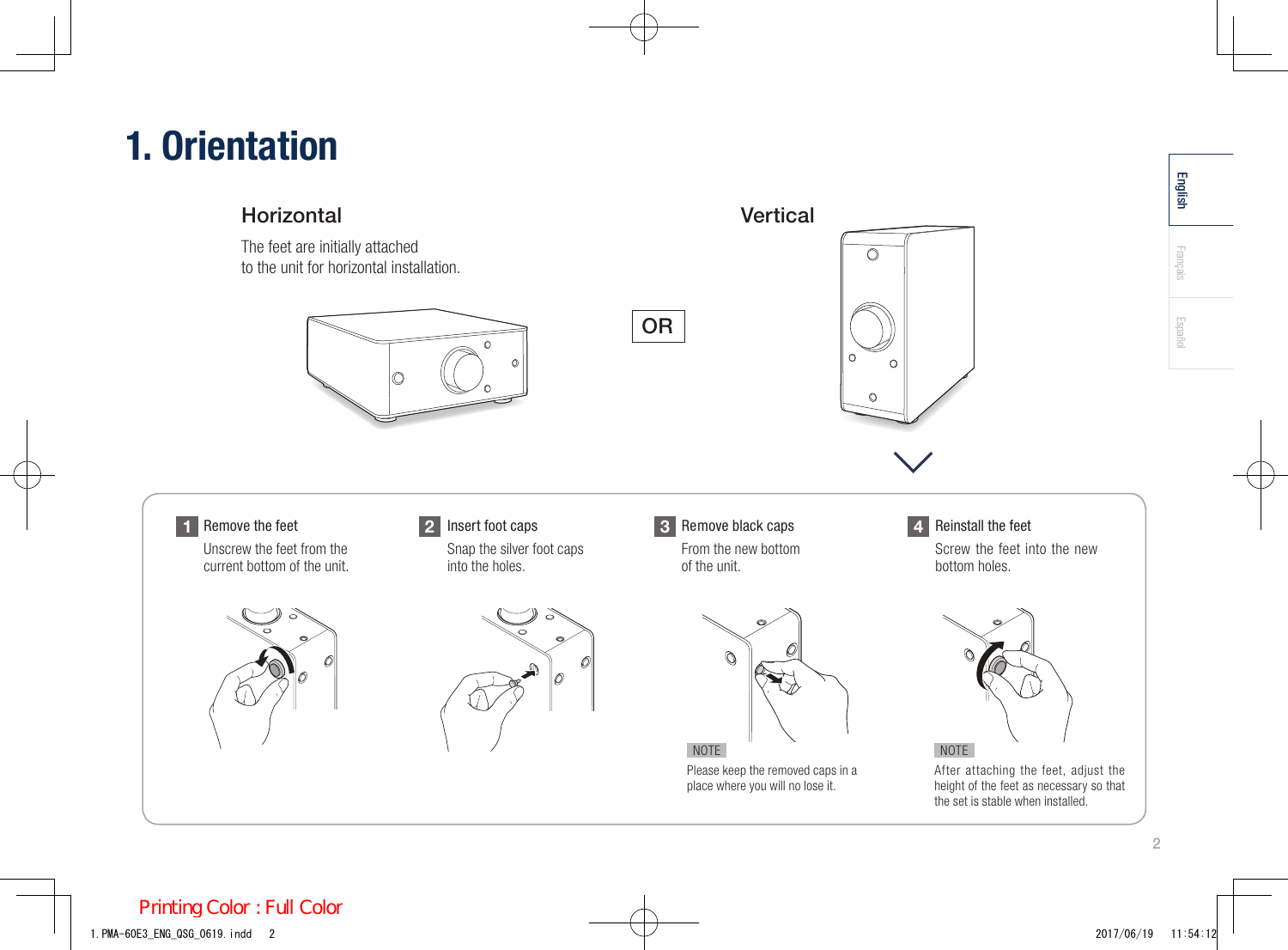## 1. Orientation

### Horizontal

The feet are initially attached to the unit for horizontal installation.









Please keep the removed caps in a place where you will no lose it.

#### Reinstall the feet

Screw the feet into the new bottom holes.



After attaching the feet, adjust the height of the feet as necessary so that the set is stable when installed.







Vertical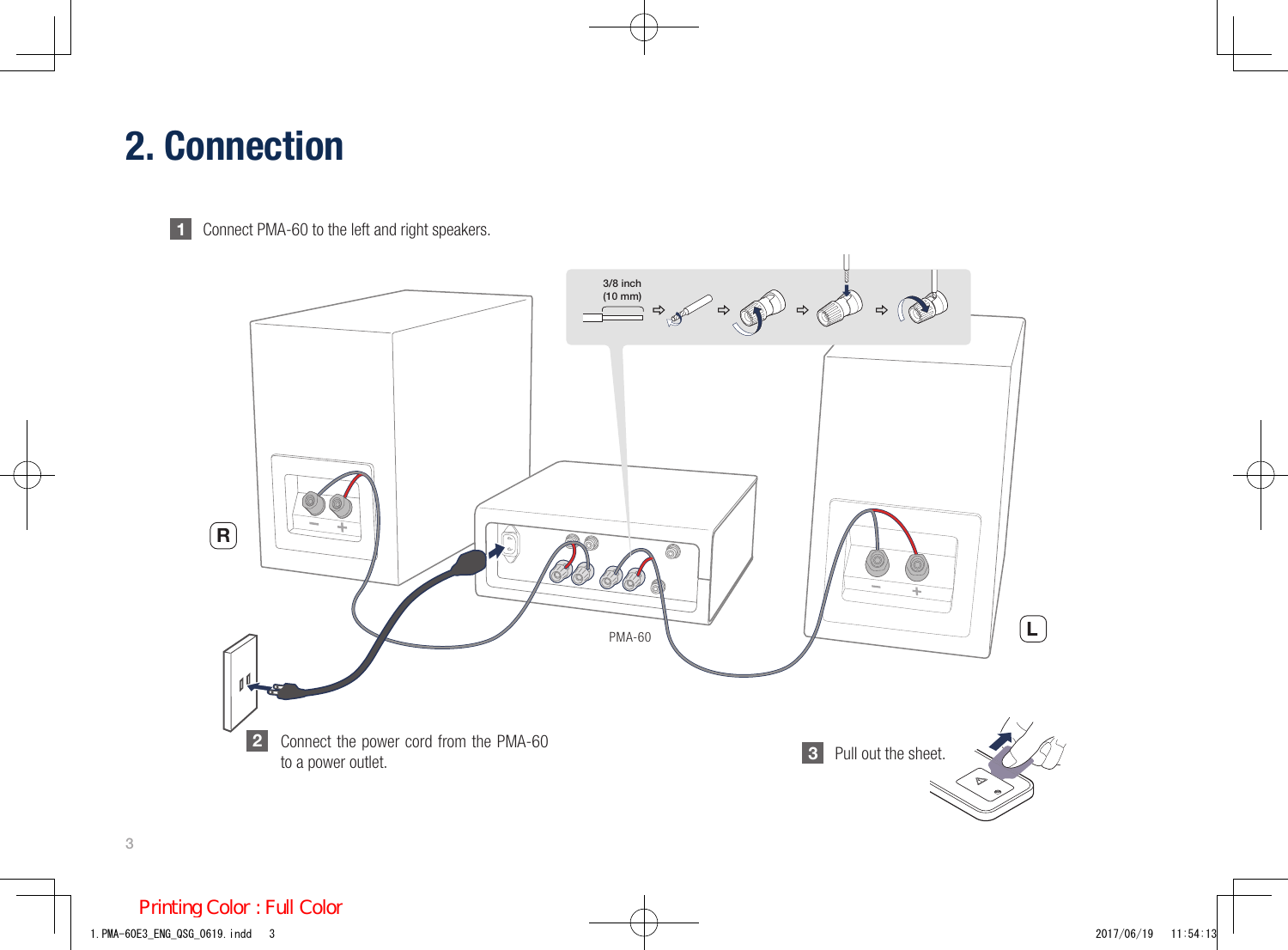## 2. Connection

1 Connect PMA-60 to the left and right speakers.

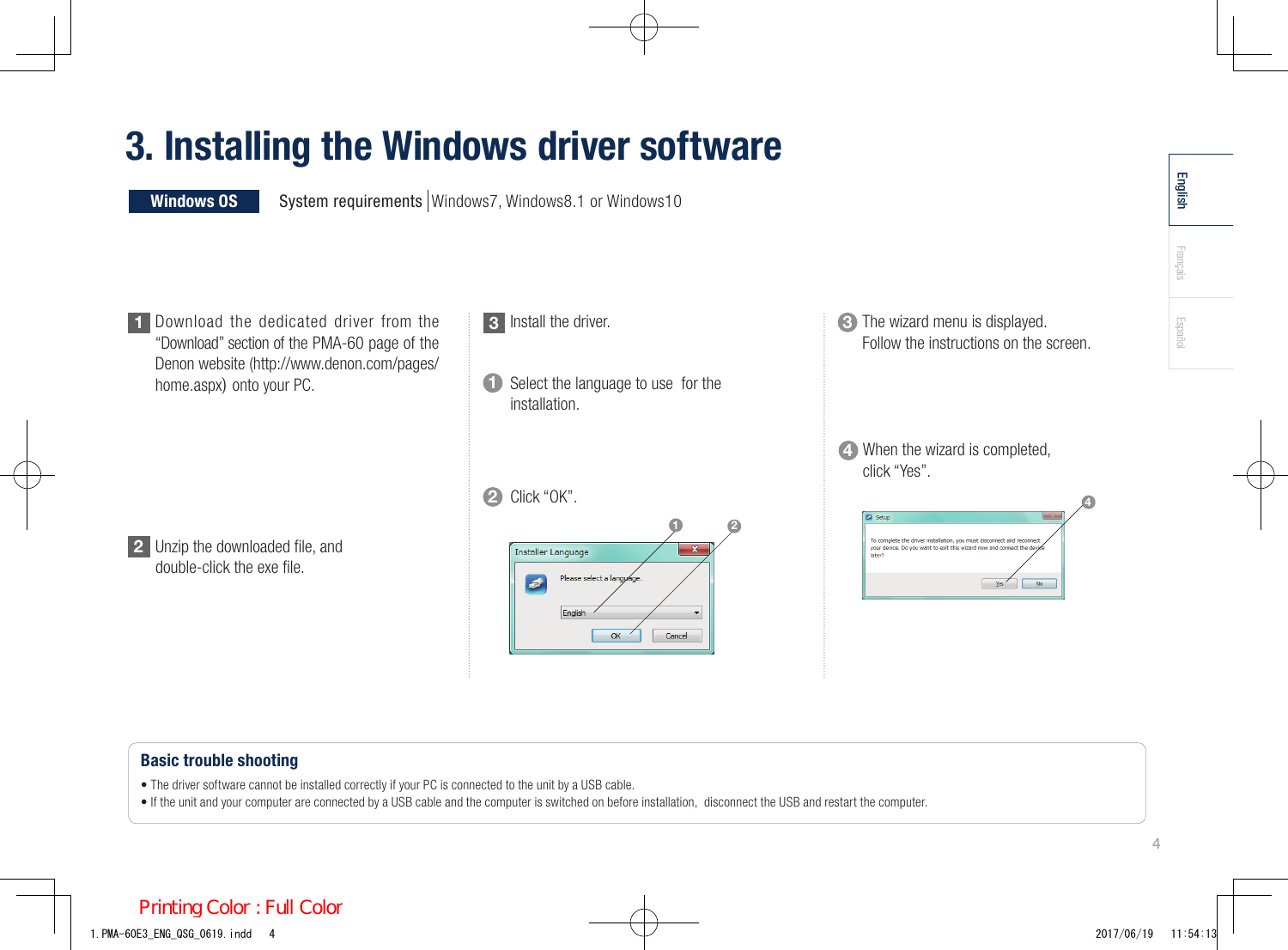# 3. Installing the Windows driver software

Windows OS System requirements Windows7, Windows8.1 or Windows10

1 Download the dedicated driver from the **3** "Download" section of the PMA-60 page of the Denon website (http://www.denon.com/pages/ home.aspx) onto your PC.

2 Unzip the downloaded file, and double-click the exe file.



- Select the language to use for the installation.  $\bullet$
- 2 Click "OK".





#### Basic trouble shooting

- The driver software cannot be installed correctly if your PC is connected to the unit by a USB cable.
- If the unit and your computer are connected by a USB cable and the computer is switched on before installation, disconnect the USB and restart the computer.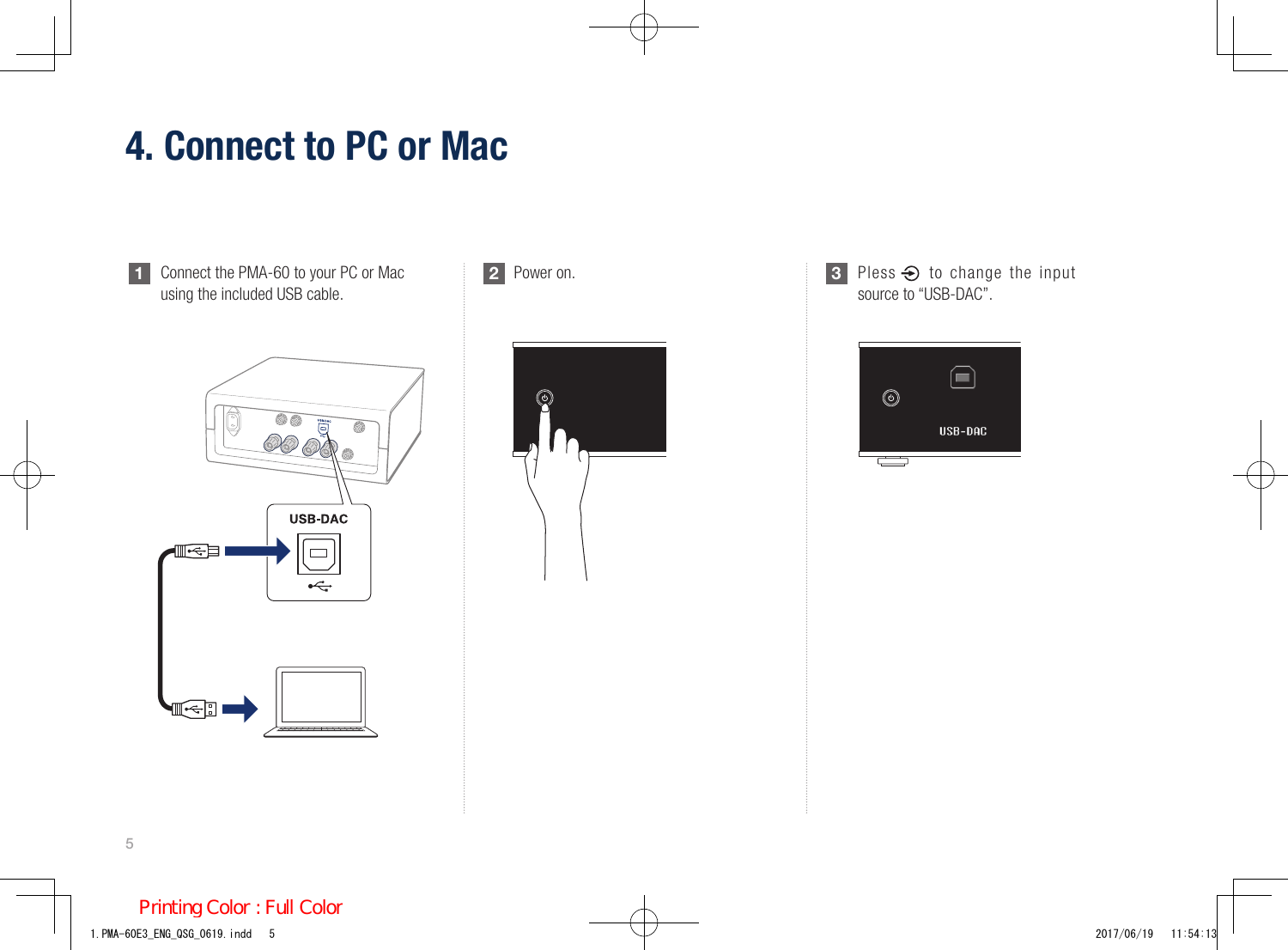# 4. Connect to PC or Mac

1 Connect the PMA-60 to your PC or Mac 2 Power on. using the included USB cable.





Power on.  $\begin{array}{|c|c|c|c|c|}\n\hline\n\textbf{3} & \textbf{Pless} \bigoplus \textbf{to change the input} \end{array}$ source to "USB-DAC".

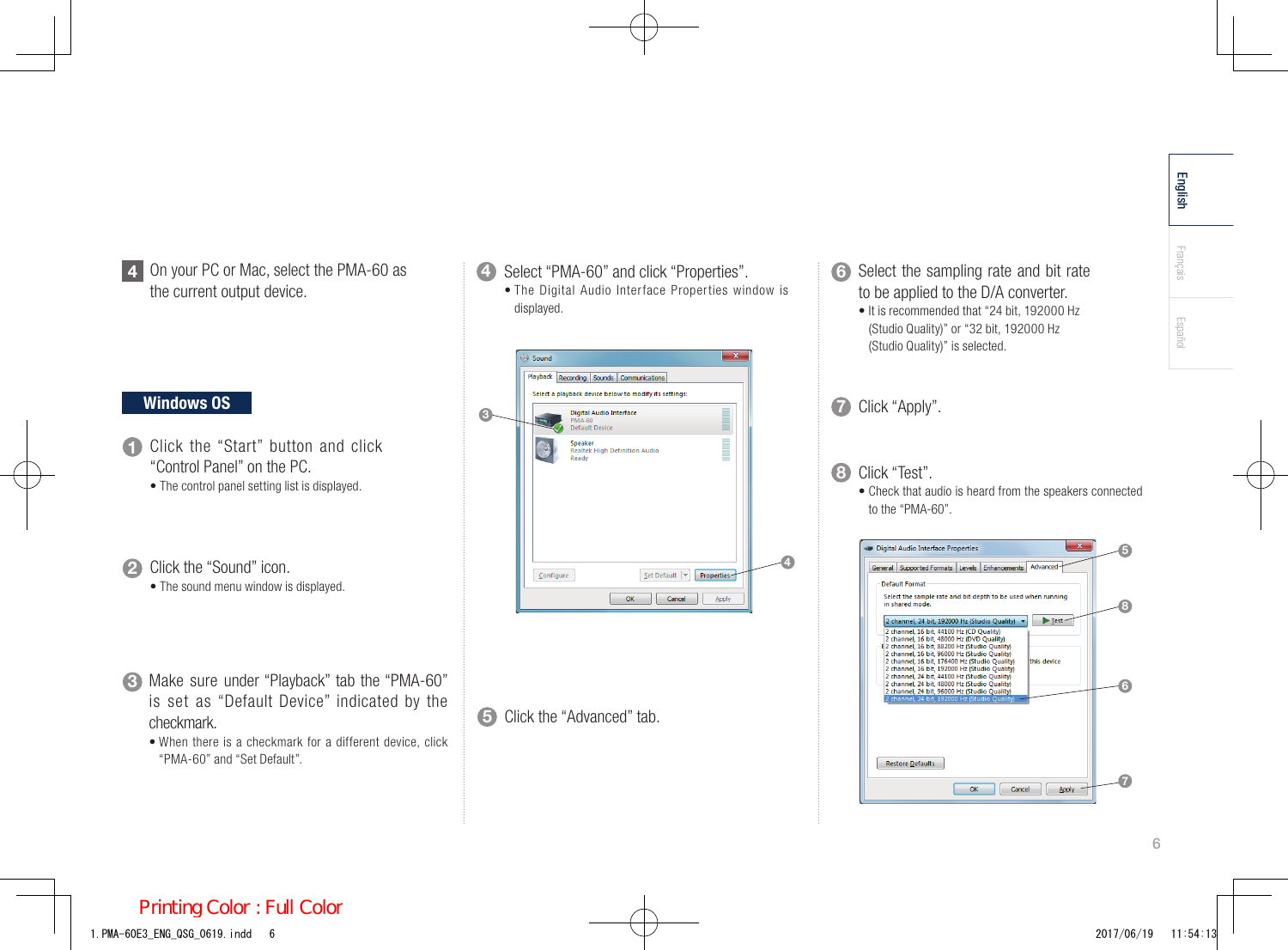4 On your PC or Mac, select the PMA-60 as the current output device.

#### Windows OS

- Click the "Start" button and click "Control Panel" on the PC. 1
	- The control panel setting list is displayed.

Click the "Sound" icon.  $\boldsymbol{\varphi}$ 

- The sound menu window is displayed.
- Make sure under "Playback" tab the "PMA-60" 3 is set as "Default Device" indicated by the checkmark.
	- When there is a checkmark for a different device, click "PMA-60" and "Set Default".
- 4 Select "PMA-60" and click "Properties".
	- The Digital Audio Interface Properties window is displayed.



5 Click the "Advanced" tab.

6 Select the sampling rate and bit rate to be applied to the D/A converter. • It is recommended that "24 bit, 192000 Hz (Studio Quality)" or "32 bit, 192000 Hz (Studio Quality)" is selected.

#### 7 Click "Apply".

8 Click "Test".

• Check that audio is heard from the speakers connected to the "PMA-60".

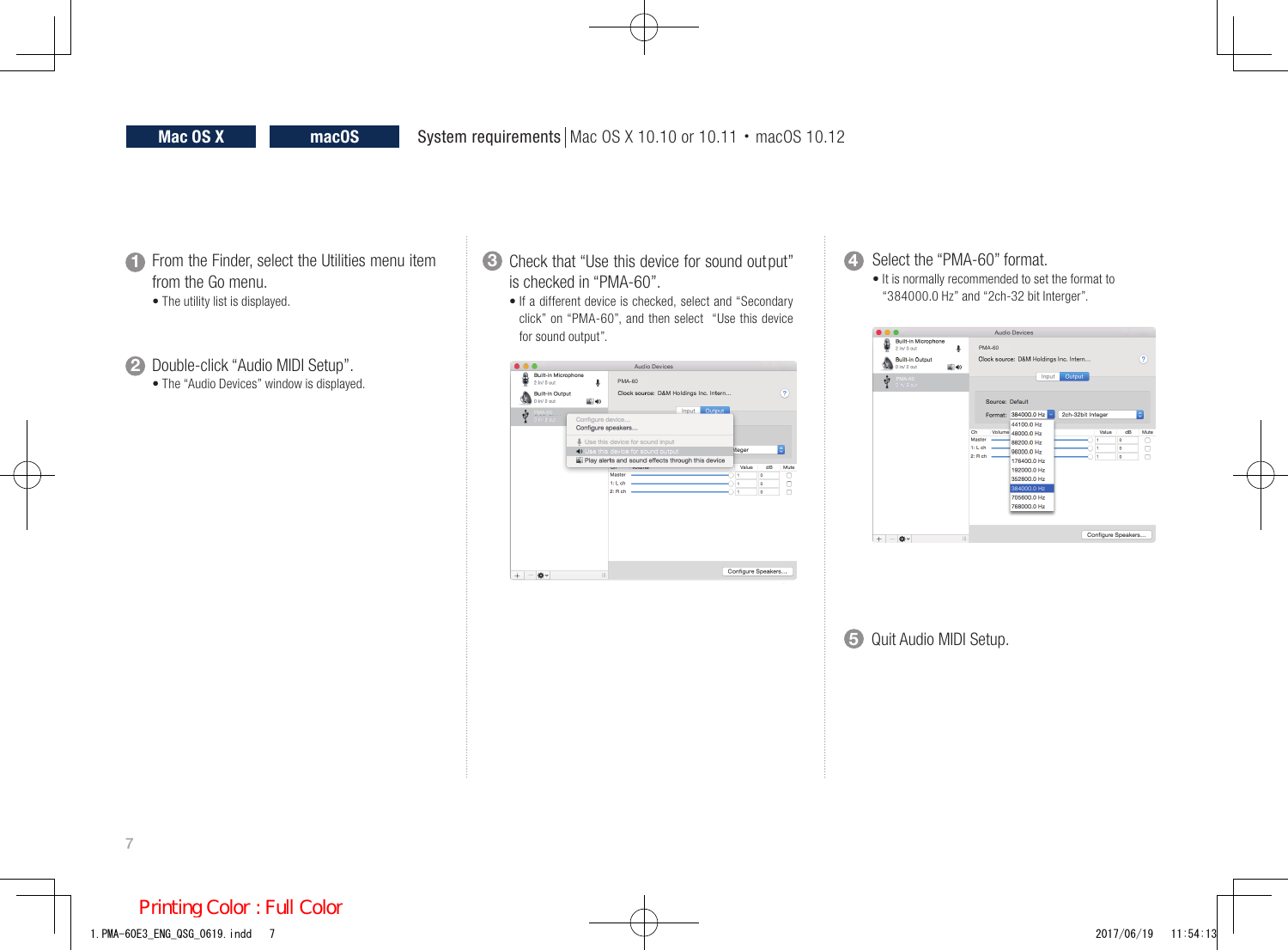- **The From the Finder, select the Utilities menu item** from the Go menu.
	- The utility list is displayed.
- 2 Double-click "Audio MIDI Setup".
	- The "Audio Devices" window is displayed.
- 1 From the Finder, select the Utilities menu item  $\bullet$  Check that "Use this device for sound output" is checked in "PMA-60".
	- If a different device is checked, select and "Secondary click" on "PMA-60", and then select "Use this device for sound output".



- Select the "PMA-60" format.
	- It is normally recommended to set the format to "384000.0 Hz" and "2ch-32 bit Interger".



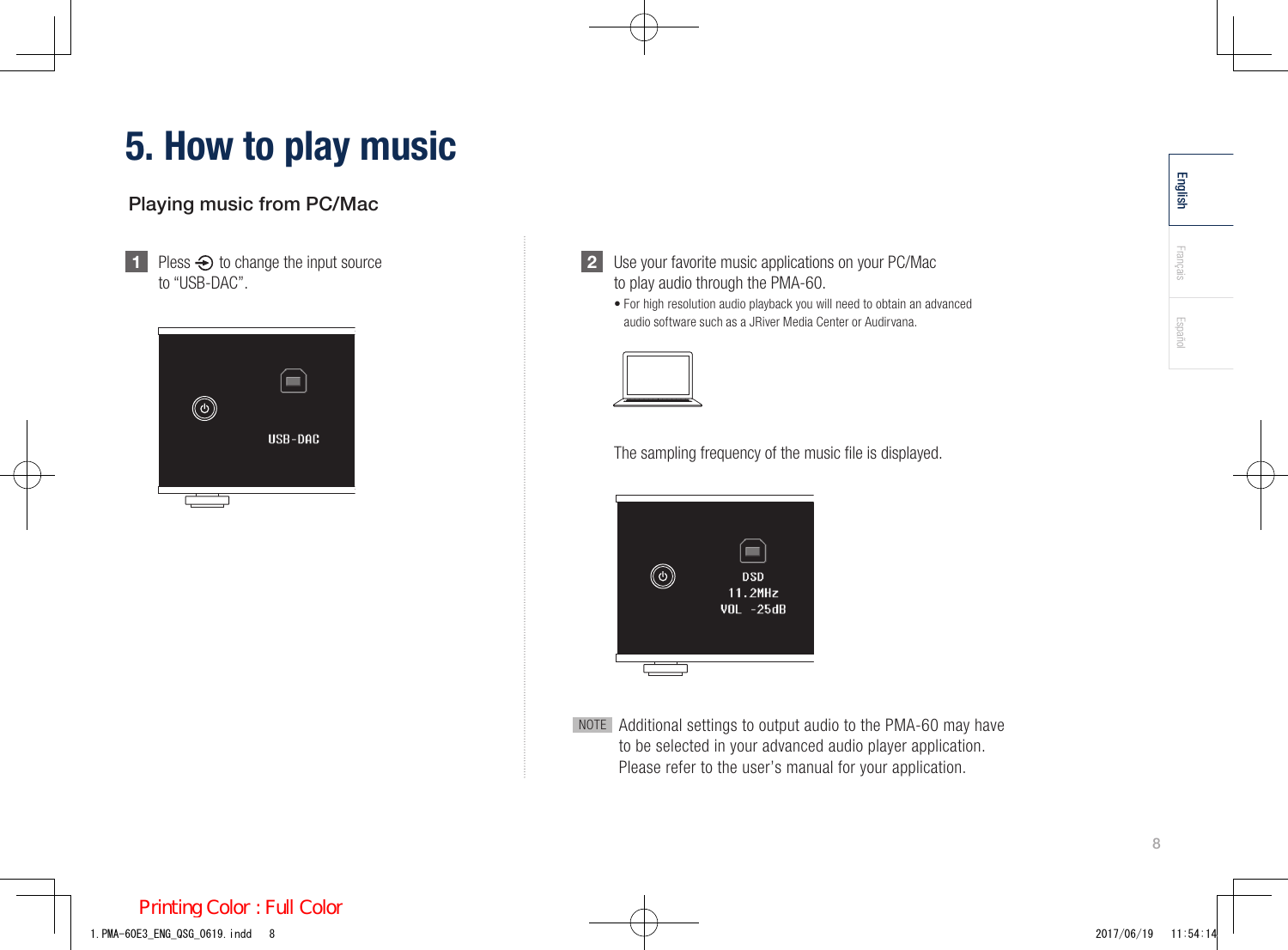# 5. How to play music

#### Playing music from PC/Mac





- Use your favorite music applications on your PC/Mac to play audio through the PMA-60.
- For high resolution audio playback you will need to obtain an advanced audio software such as a JRiver Media Center or Audirvana.



The sampling frequency of the music file is displayed.



Additional settings to output audio to the PMA-60 may have NOTE to be selected in your advanced audio player application. Please refer to the user's manual for your application.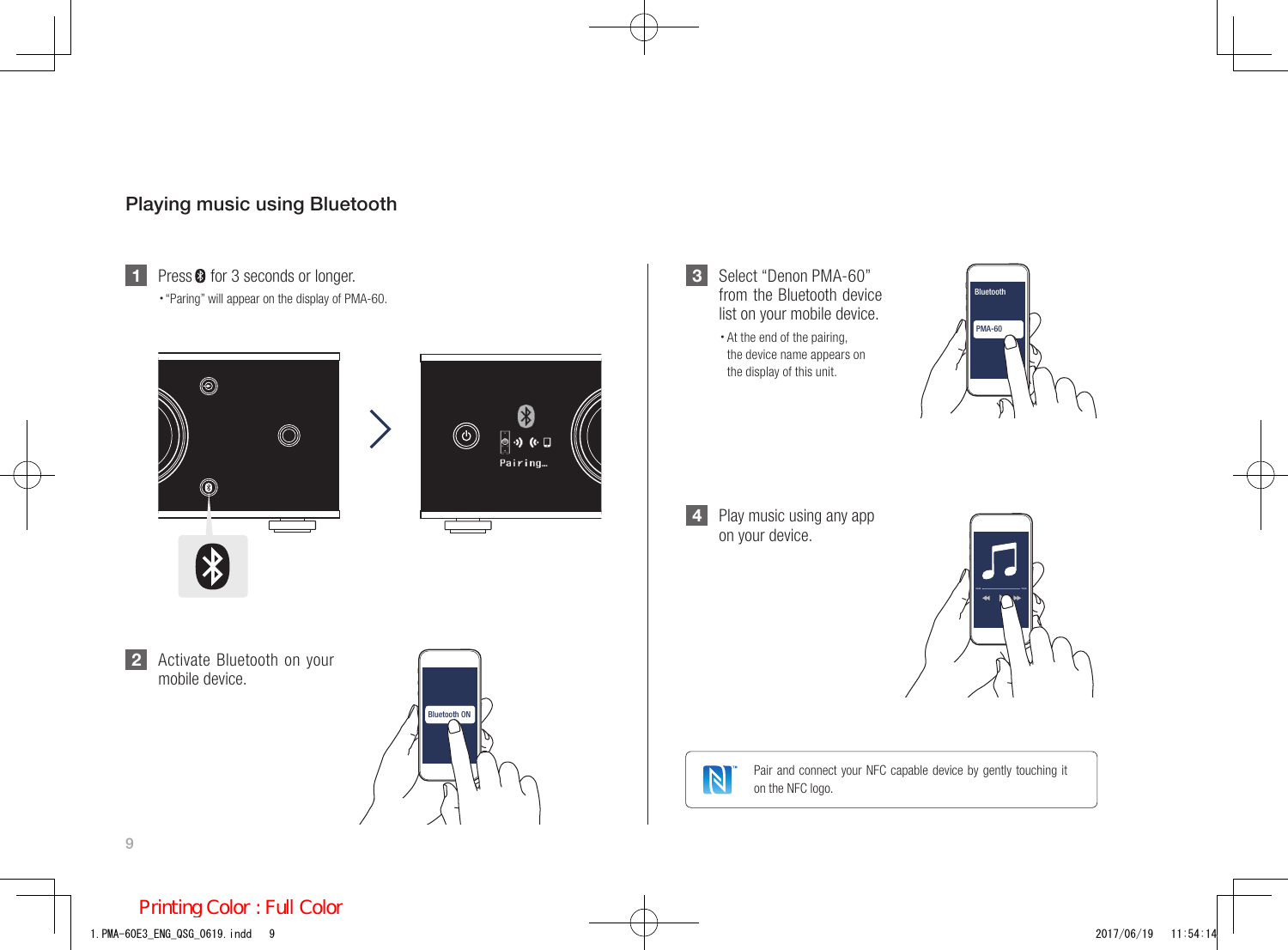#### Playing music using Bluetooth



Press <sup>o</sup> for 3 seconds or longer. ・"Paring" will appear on the display of PMA-60.





Activate Bluetooth on your mobile device. 2



- Select "Denon PMA-60" from the Bluetooth device list on your mobile device. 3
	- ・ At the end of the pairing, the device name appears on the display of this unit.





Play music using any app on your device.





Pair and connect your NFC capable device by gently touching it on the NFC logo.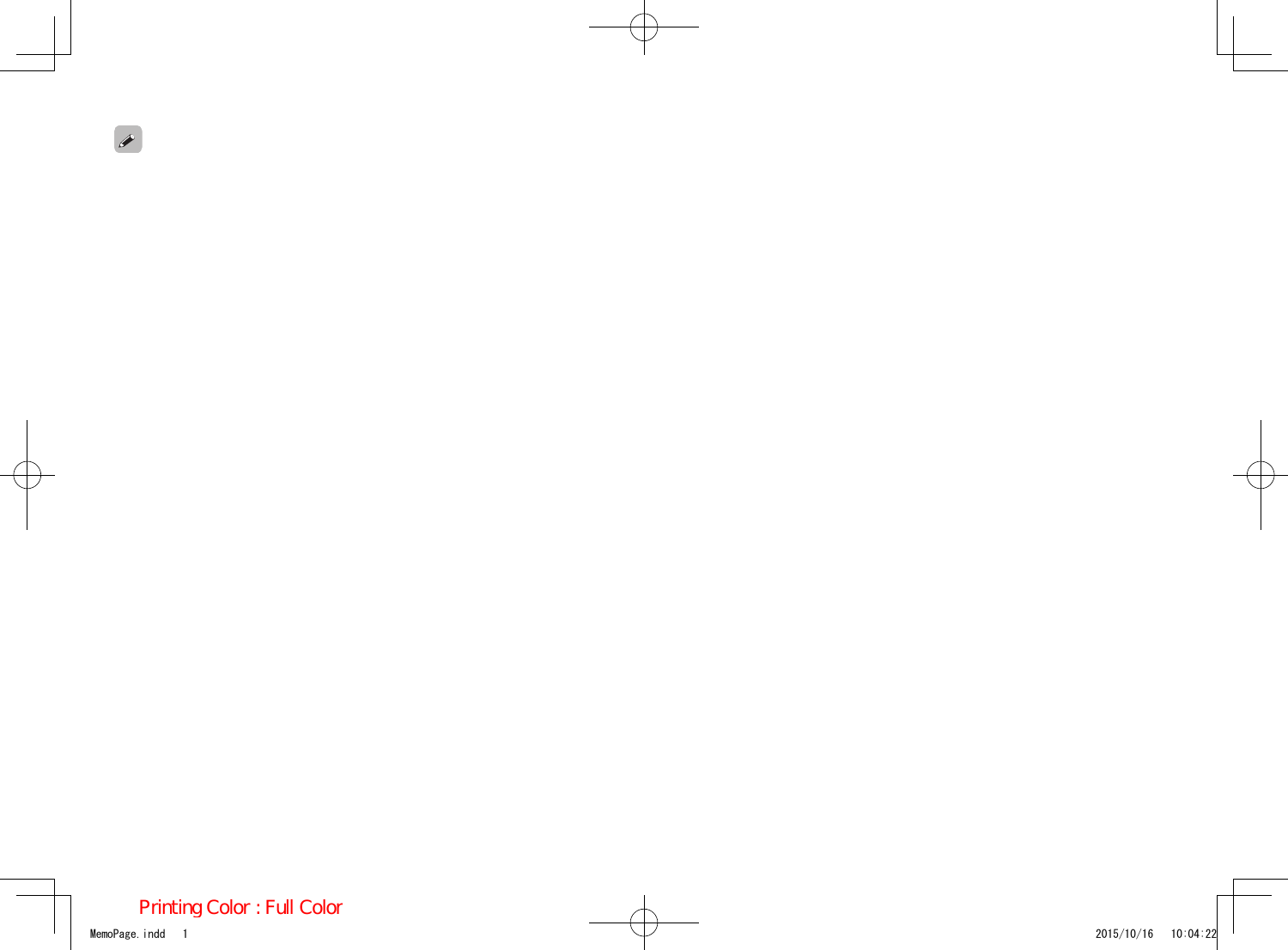$\left| \right\rangle$